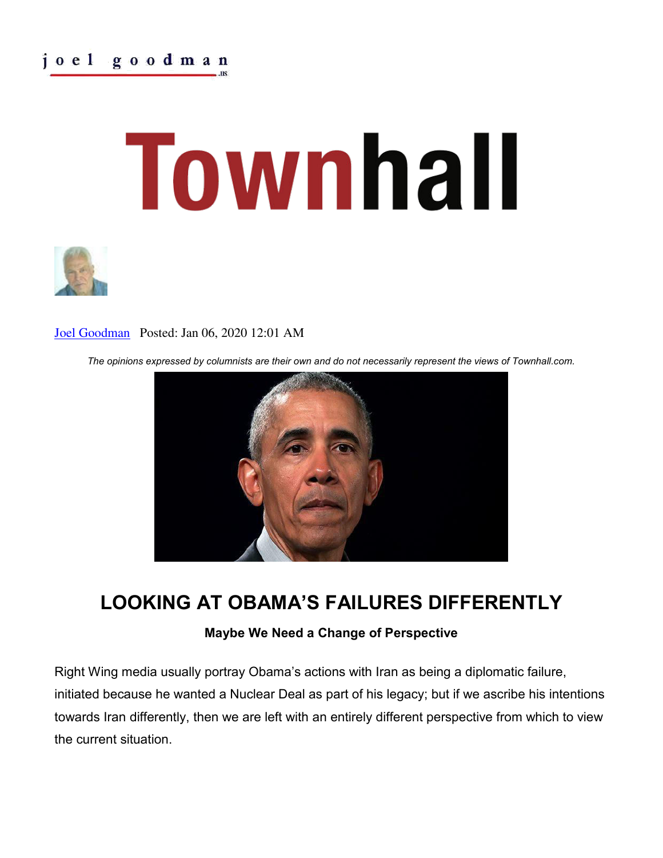# joel goodman

# Townhall



### [Joel Goodman](https://townhall.com/author/joelgoodman) Posted: Jan 06, 2020 12:01 AM

*The opinions expressed by columnists are their own and do not necessarily represent the views of Townhall.com.*



## **LOOKING AT OBAMA'S FAILURES DIFFERENTLY**

### **Maybe We Need a Change of Perspective**

Right Wing media usually portray Obama's actions with Iran as being a diplomatic failure, initiated because he wanted a Nuclear Deal as part of his legacy; but if we ascribe his intentions towards Iran differently, then we are left with an entirely different perspective from which to view the current situation.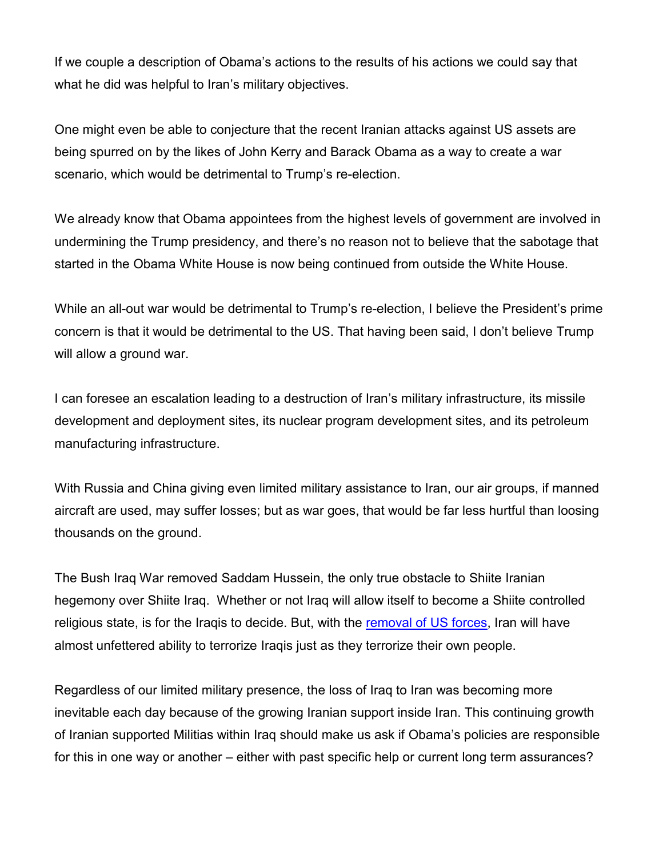If we couple a description of Obama's actions to the results of his actions we could say that what he did was helpful to Iran's military objectives.

One might even be able to conjecture that the recent Iranian attacks against US assets are being spurred on by the likes of John Kerry and Barack Obama as a way to create a war scenario, which would be detrimental to Trump's re-election.

We already know that Obama appointees from the highest levels of government are involved in undermining the Trump presidency, and there's no reason not to believe that the sabotage that started in the Obama White House is now being continued from outside the White House.

While an all-out war would be detrimental to Trump's re-election, I believe the President's prime concern is that it would be detrimental to the US. That having been said, I don't believe Trump will allow a ground war.

I can foresee an escalation leading to a destruction of Iran's military infrastructure, its missile development and deployment sites, its nuclear program development sites, and its petroleum manufacturing infrastructure.

With Russia and China giving even limited military assistance to Iran, our air groups, if manned aircraft are used, may suffer losses; but as war goes, that would be far less hurtful than loosing thousands on the ground.

The Bush Iraq War removed Saddam Hussein, the only true obstacle to Shiite Iranian hegemony over Shiite Iraq. Whether or not Iraq will allow itself to become a Shiite controlled religious state, is for the Iraqis to decide. But, with the [removal of US forces,](https://townhall.com/tipsheet/bethbaumann/2020/01/05/iraqi-parliament-votes-to-expel-u-s-troops-following-the-killing-of-soleimani-n2558963) Iran will have almost unfettered ability to terrorize Iraqis just as they terrorize their own people.

Regardless of our limited military presence, the loss of Iraq to Iran was becoming more inevitable each day because of the growing Iranian support inside Iran. This continuing growth of Iranian supported Militias within Iraq should make us ask if Obama's policies are responsible for this in one way or another – either with past specific help or current long term assurances?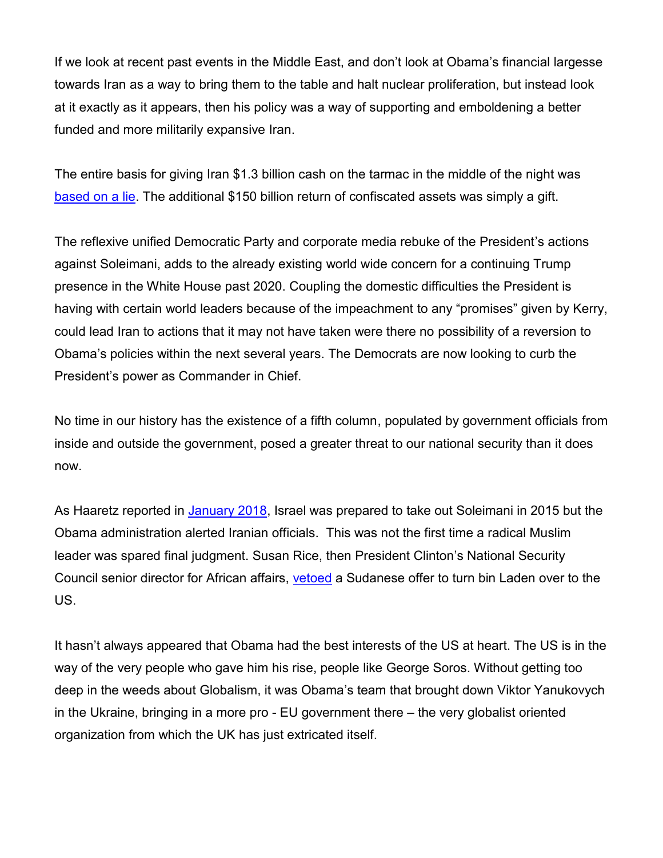If we look at recent past events in the Middle East, and don't look at Obama's financial largesse towards Iran as a way to bring them to the table and halt nuclear proliferation, but instead look at it exactly as it appears, then his policy was a way of supporting and emboldening a better funded and more militarily expansive Iran.

The entire basis for giving Iran \$1.3 billion cash on the tarmac in the middle of the night was [based on a lie.](https://thefederalist.com/2016/09/13/obama-didnt-save-money-rushing-1-3-billion-iran/) The additional \$150 billion return of confiscated assets was simply a gift.

The reflexive unified Democratic Party and corporate media rebuke of the President's actions against Soleimani, adds to the already existing world wide concern for a continuing Trump presence in the White House past 2020. Coupling the domestic difficulties the President is having with certain world leaders because of the impeachment to any "promises" given by Kerry, could lead Iran to actions that it may not have taken were there no possibility of a reversion to Obama's policies within the next several years. The Democrats are now looking to curb the President's power as Commander in Chief.

No time in our history has the existence of a fifth column, populated by government officials from inside and outside the government, posed a greater threat to our national security than it does now.

As Haaretz reported in [January 2018,](https://townhall.com/tipsheet/bethbaumann/2020/01/04/watch-susan-rice-flat-out-lies-about-the-obama-admins-opportunity-to-kill-solei-n2558942) Israel was prepared to take out Soleimani in 2015 but the Obama administration alerted Iranian officials. This was not the first time a radical Muslim leader was spared final judgment. Susan Rice, then President Clinton's National Security Council senior director for African affairs, [vetoed](https://www.washingtontimes.com/news/2017/apr/5/susan-rice-lies-will-haunt-liberals/) a Sudanese offer to turn bin Laden over to the US.

It hasn't always appeared that Obama had the best interests of the US at heart. The US is in the way of the very people who gave him his rise, people like George Soros. Without getting too deep in the weeds about Globalism, it was Obama's team that brought down Viktor Yanukovych in the Ukraine, bringing in a more pro - EU government there – the very globalist oriented organization from which the UK has just extricated itself.